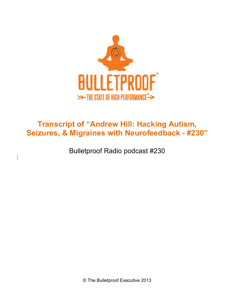

# **Transcript of "Andrew Hill: Hacking Autism, Seizures, & Migraines with Neurofeedback - #230"**

Bulletproof Radio podcast #230

© The Bulletproof Executive 2013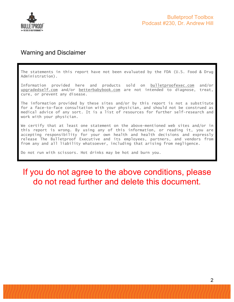

## Warning and Disclaimer

The statements in this report have not been evaluated by the FDA (U.S. Food & Drug Administration).

Information provided here and products sold on bulletproofexec.com and/or upgradedself.com and/or betterbabybook.com are not intended to diagnose, treat, cure, or prevent any disease.

The information provided by these sites and/or by this report is not a substitute for a face-to-face consultation with your physician, and should not be construed as medical advice of any sort. It is a list of resources for further self-research and work with your physician.

We certify that at least one statement on the above-mentioned web sites and/or in this report is wrong. By using any of this information, or reading it, you are accepting responsibility for your own health and health decisions and expressly release The Bulletproof Executive and its employees, partners, and vendors from from any and all liability whatsoever, including that arising from negligence.

Do not run with scissors. Hot drinks may be hot and burn you.

# If you do not agree to the above conditions, please do not read further and delete this document.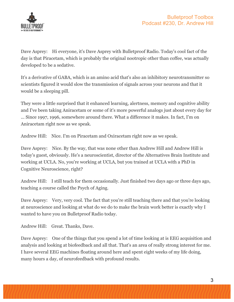

Dave Asprey: Hi everyone, it's Dave Asprey with Bulletproof Radio. Today's cool fact of the day is that Piracetam, which is probably the original nootropic other than coffee, was actually developed to be a sedative.

It's a derivative of GABA, which is an amino acid that's also an inhibitory neurotransmitter so scientists figured it would slow the transmission of signals across your neurons and that it would be a sleeping pill.

They were a little surprised that it enhanced learning, alertness, memory and cognitive ability and I've been taking Aniracetam or some of it's more powerful analogs just about every day for ... Since 1997, 1996, somewhere around there. What a difference it makes. In fact, I'm on Aniracetam right now as we speak.

Andrew Hill: Nice. I'm on Piracetam and Oxiracetam right now as we speak.

Dave Asprey: Nice. By the way, that was none other than Andrew Hill and Andrew Hill is today's guest, obviously. He's a neuroscientist, director of the Alternatives Brain Institute and working at UCLA. No, you're working at UCLA, but you trained at UCLA with a PhD in Cognitive Neuroscience, right?

Andrew Hill: I still teach for them occasionally. Just finished two days ago or three days ago, teaching a course called the Psych of Aging.

Dave Asprey: Very, very cool. The fact that you're still teaching there and that you're looking at neuroscience and looking at what do we do to make the brain work better is exactly why I wanted to have you on Bulletproof Radio today.

Andrew Hill: Great. Thanks, Dave.

Dave Asprey: One of the things that you spend a lot of time looking at is EEG acquisition and analysis and looking at biofeedback and all that. That's an area of really strong interest for me. I have several EEG machines floating around here and spent eight weeks of my life doing, many hours a day, of neurofeedback with profound results.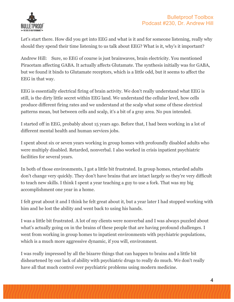

Let's start there. How did you get into EEG and what is it and for someone listening, really why should they spend their time listening to us talk about EEG? What is it, why's it important?

Andrew Hill: Sure, so EEG of course is just brainwaves, brain electricity. You mentioned Piracetam affecting GABA. It actually affects Glutamate. The synthesis initially was for GABA, but we found it binds to Glutamate receptors, which is a little odd, but it seems to affect the EEG in that way.

EEG is essentially electrical firing of brain activity. We don't really understand what EEG is still, is the dirty little secret within EEG land. We understand the cellular level, how cells produce different firing rates and we understand at the scalp what some of these electrical patterns mean, but between cells and scalp, it's a bit of a gray area. No pun intended.

I started off in EEG, probably about 15 years ago. Before that, I had been working in a lot of different mental health and human services jobs.

I spent about six or seven years working in group homes with profoundly disabled adults who were multiply disabled. Retarded, nonverbal. I also worked in crisis inpatient psychiatric facilities for several years.

In both of those environments, I got a little bit frustrated. In group homes, retarded adults don't change very quickly. They don't have brains that are intact largely so they're very difficult to teach new skills. I think I spent a year teaching a guy to use a fork. That was my big accomplishment one year in a home.

I felt great about it and I think he felt great about it, but a year later I had stopped working with him and he lost the ability and went back to using his hands.

I was a little bit frustrated. A lot of my clients were nonverbal and I was always puzzled about what's actually going on in the brains of these people that are having profound challenges. I went from working in group homes to inpatient environments with psychiatric populations, which is a much more aggressive dynamic, if you will, environment.

I was really impressed by all the bizarre things that can happen to brains and a little bit disheartened by our lack of ability with psychiatric drugs to really do much. We don't really have all that much control over psychiatric problems using modern medicine.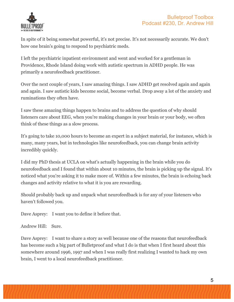

In spite of it being somewhat powerful, it's not precise. It's not necessarily accurate. We don't how one brain's going to respond to psychiatric meds.

I left the psychiatric inpatient environment and went and worked for a gentleman in Providence, Rhode Island doing work with autistic spectrum in ADHD people. He was primarily a neurofeedback practitioner.

Over the next couple of years, I saw amazing things. I saw ADHD get resolved again and again and again. I saw autistic kids become social, become verbal. Drop away a lot of the anxiety and ruminations they often have.

I saw these amazing things happen to brains and to address the question of why should listeners care about EEG, when you're making changes in your brain or your body, we often think of these things as a slow process.

It's going to take 10,000 hours to become an expert in a subject material, for instance, which is many, many years, but in technologies like neurofeedback, you can change brain activity incredibly quickly.

I did my PhD thesis at UCLA on what's actually happening in the brain while you do neurofeedback and I found that within about 10 minutes, the brain is picking up the signal. It's noticed what you're asking it to make more of. Within a few minutes, the brain is echoing back changes and activity relative to what it is you are rewarding.

Should probably back up and unpack what neurofeedback is for any of your listeners who haven't followed you.

Dave Asprey: I want you to define it before that.

Andrew Hill: Sure.

Dave Asprey: I want to share a story as well because one of the reasons that neurofeedback has become such a big part of Bulletproof and what I do is that when I first heard about this somewhere around 1996, 1997 and when I was really first realizing I wanted to hack my own brain, I went to a local neurofeedback practitioner.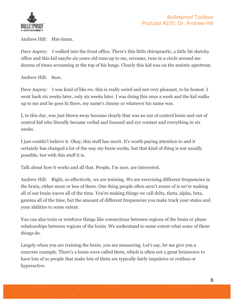

Andrew Hill: Mm-hmm.

Dave Asprey: I walked into the front office. There's this little chiropractic, a little bit sketchy office and this kid maybe six years old runs up to me, screams, runs in a circle around me dozens of times screaming at the top of his lungs. Clearly this kid was on the autistic spectrum.

Andrew Hill: Sure.

Dave Asprey: I was kind of like ew, this is really weird and not very pleasant, to be honest. I went back six weeks later, only six weeks later. I was doing this once a week and the kid walks up to me and he goes hi there, my name's Jimmy or whatever his name was.

I, to this day, was just blown away because clearly that was an out of control brain and out of control kid who literally became verbal and focused and eye contact and everything in six weeks.

I just couldn't believe it. Okay, this stuff has merit. It's worth paying attention to and it certainly has changed a lot of the way my brain works, but that kind of thing is not usually possible, but with this stuff it is.

Talk about how it works and all that. People, I'm sure, are interested.

Andrew Hill: Right, so effectively, we are training. We are exercising different frequencies in the brain, either more or less of them. One thing people often aren't aware of is we're making all of our brain waves all of the time. You're making things we call delta, theta, alpha, beta, gamma all of the time, but the amount of different frequencies you make track your states and your abilities to some extent.

You can also train or reinforce things like connections between regions of the brain or phase relationships between regions of the brain. We understand to some extent what some of these things do.

Largely when you are training the brain, you are measuring. Let's say, let me give you a concrete example. There's a brain wave called theta, which is often not a great brainwave to have lots of so people that make lots of theta are typically fairly impulsive or restless or hyperactive.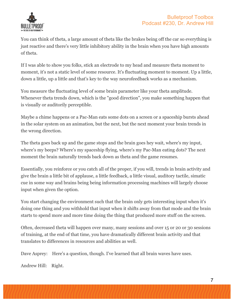

You can think of theta, a large amount of theta like the brakes being off the car so everything is just reactive and there's very little inhibitory ability in the brain when you have high amounts of theta.

If I was able to show you folks, stick an electrode to my head and measure theta moment to moment, it's not a static level of some resource. It's fluctuating moment to moment. Up a little, down a little, up a little and that's key to the way neurofeedback works as a mechanism.

You measure the fluctuating level of some brain parameter like your theta amplitude. Whenever theta trends down, which is the "good direction", you make something happen that is visually or auditorily perceptible.

Maybe a chime happens or a Pac-Man eats some dots on a screen or a spaceship bursts ahead in the solar system on an animation, but the next, but the next moment your brain trends in the wrong direction.

The theta goes back up and the game stops and the brain goes hey wait, where's my input, where's my beeps? Where's my spaceship flying, where's my Pac-Man eating dots? The next moment the brain naturally trends back down as theta and the game resumes.

Essentially, you reinforce or you catch all of the proper, if you will, trends in brain activity and give the brain a little bit of applause, a little feedback, a little visual, auditory tactile, simatic cue in some way and brains being being information processing machines will largely choose input when given the option.

You start changing the environment such that the brain only gets interesting input when it's doing one thing and you withhold that input when it shifts away from that mode and the brain starts to spend more and more time doing the thing that produced more stuff on the screen.

Often, decreased theta will happen over many, many sessions and over 15 or 20 or 30 sessions of training, at the end of that time, you have dramatically different brain activity and that translates to differences in resources and abilities as well.

Dave Asprey: Here's a question, though. I've learned that all brain waves have uses.

Andrew Hill: Right.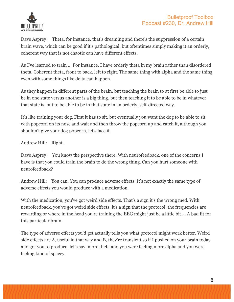

Dave Asprey: Theta, for instance, that's dreaming and there's the suppression of a certain brain wave, which can be good if it's pathological, but oftentimes simply making it an orderly, coherent way that is not chaotic can have different effects.

As I've learned to train ... For instance, I have orderly theta in my brain rather than disordered theta. Coherent theta, front to back, left to right. The same thing with alpha and the same thing even with some things like delta can happen.

As they happen in different parts of the brain, but teaching the brain to at first be able to just be in one state versus another is a big thing, but then teaching it to be able to be in whatever that state is, but to be able to be in that state in an orderly, self-directed way.

It's like training your dog. First it has to sit, but eventually you want the dog to be able to sit with popcorn on its nose and wait and then throw the popcorn up and catch it, although you shouldn't give your dog popcorn, let's face it.

Andrew Hill: Right.

Dave Asprey: You know the perspective there. With neurofeedback, one of the concerns I have is that you could train the brain to do the wrong thing. Can you hurt someone with neurofeedback?

Andrew Hill: You can. You can produce adverse effects. It's not exactly the same type of adverse effects you would produce with a medication.

With the medication, you've got weird side effects. That's a sign it's the wrong med. With neurofeedback, you've got weird side effects, it's a sign that the protocol, the frequencies are rewarding or where in the head you're training the EEG might just be a little bit ... A bad fit for this particular brain.

The type of adverse effects you'd get actually tells you what protocol might work better. Weird side effects are A, useful in that way and B, they're transient so if I pushed on your brain today and got you to produce, let's say, more theta and you were feeling more alpha and you were feeling kind of spacey.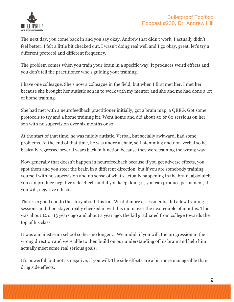

The next day, you come back in and you say okay, Andrew that didn't work. I actually didn't feel better. I felt a little bit checked out, I wasn't doing real well and I go okay, great, let's try a different protocol and different frequency.

The problem comes when you train your brain in a specific way. It produces weird effects and you don't tell the practitioner who's guiding your training.

I have one colleague. She's now a colleague in the field, but when I first met her, I met her because she brought her autistic son in to work with my mentor and she and me had done a lot of home training.

She had met with a neurofeedback practitioner initially, got a brain map, a QEEG. Got some protocols to try and a home training kit. Went home and did about 50 or 60 sessions on her son with no supervision over six months or so.

At the start of that time, he was mildly autistic. Verbal, but socially awkward, had some problems. At the end of that time, he was under a chair, self-stemming and non-verbal so he basically regressed several years back in function because they were training the wrong way.

Now generally that doesn't happen in neurofeedback because if you get adverse effects, you spot them and you steer the brain in a different direction, but if you are somebody training yourself with no supervision and no sense of what's actually happening in the brain, absolutely you can produce negative side effects and if you keep doing it, you can produce permanent, if you will, negative effects.

There's a good end to the story about this kid. We did more assessments, did a few training sessions and then stayed really checked in with his mom over the next couple of months. This was about 12 or 13 years ago and about a year ago, the kid graduated from college towards the top of his class.

It was a mainstream school so he's no longer ... We undid, if you will, the progression in the wrong direction and were able to then build on our understanding of his brain and help him actually meet some real serious goals.

It's powerful, but not as negative, if you will. The side effects are a bit more manageable than drug side effects.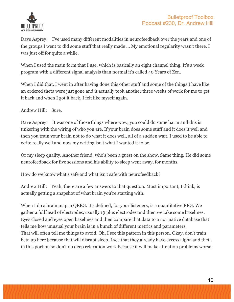

Dave Asprey: I've used many different modalities in neurofeedback over the years and one of the groups I went to did some stuff that really made ... My emotional regularity wasn't there. I was just off for quite a while.

When I used the main form that I use, which is basically an eight channel thing. It's a week program with a different signal analysis than normal it's called 40 Years of Zen.

When I did that, I went in after having done this other stuff and some of the things I have like an ordered theta were just gone and it actually took another three weeks of work for me to get it back and when I got it back, I felt like myself again.

Andrew Hill: Sure.

Dave Asprey: It was one of those things where wow, you could do some harm and this is tinkering with the wiring of who you are. If your brain does some stuff and it does it well and then you train your brain not to do what it does well, all of a sudden wait, I used to be able to write really well and now my writing isn't what I wanted it to be.

Or my sleep quality. Another friend, who's been a guest on the show. Same thing. He did some neurofeedback for five sessions and his ability to sleep went away, for months.

How do we know what's safe and what isn't safe with neurofeedback?

Andrew Hill: Yeah, there are a few answers to that question. Most important, I think, is actually getting a snapshot of what brain you're starting with.

When I do a brain map, a QEEG. It's defined, for your listeners, is a quantitative EEG. We gather a full head of electrodes, usually 19 plus electrodes and then we take some baselines. Eyes closed and eyes open baselines and then compare that data to a normative database that tells me how unusual your brain is in a bunch of different metrics and parameters. That will often tell me things to avoid. Oh, I see this pattern in this person. Okay, don't train beta up here because that will disrupt sleep. I see that they already have excess alpha and theta in this portion so don't do deep relaxation work because it will make attention problems worse.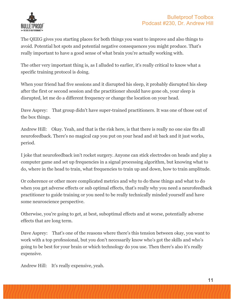

The QEEG gives you starting places for both things you want to improve and also things to avoid. Potential hot spots and potential negative consequences you might produce. That's really important to have a good sense of what brain you're actually working with.

The other very important thing is, as I alluded to earlier, it's really critical to know what a specific training protocol is doing.

When your friend had five sessions and it disrupted his sleep, it probably disrupted his sleep after the first or second session and the practitioner should have gone oh, your sleep is disrupted, let me do a different frequency or change the location on your head.

Dave Asprey: That group didn't have super-trained practitioners. It was one of those out of the box things.

Andrew Hill: Okay. Yeah, and that is the risk here, is that there is really no one size fits all neurofeedback. There's no magical cap you put on your head and sit back and it just works, period.

I joke that neurofeedback isn't rocket surgery. Anyone can stick electrodes on heads and play a computer game and set up frequencies in a signal processing algorithm, but knowing what to do, where in the head to train, what frequencies to train up and down, how to train amplitude.

Or coherence or other more complicated metrics and why to do these things and what to do when you get adverse effects or sub optimal effects, that's really why you need a neurofeedback practitioner to guide training or you need to be really technically minded yourself and have some neuroscience perspective.

Otherwise, you're going to get, at best, suboptimal effects and at worse, potentially adverse effects that are long term.

Dave Asprey: That's one of the reasons where there's this tension between okay, you want to work with a top professional, but you don't necessarily know who's got the skills and who's going to be best for your brain or which technology do you use. Then there's also it's really expensive.

Andrew Hill: It's really expensive, yeah.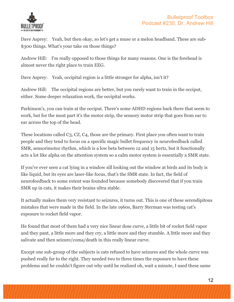

Dave Asprey: Yeah, but then okay, so let's get a muse or a melon headband. These are sub- \$300 things. What's your take on those things?

Andrew Hill: I'm really opposed to those things for many reasons. One is the forehead is almost never the right place to train EEG.

Dave Asprey: Yeah, occipital region is a little stronger for alpha, isn't it?

Andrew Hill: The occipital regions are better, but you rarely want to train in the occiput, either. Some deeper relaxation work, the occipital works.

Parkinson's, you can train at the occiput. There's some ADHD regions back there that seem to work, but for the most part it's the motor strip, the sensory motor strip that goes from ear to ear across the top of the head.

These locations called C3, CZ, C4, those are the primary. First place you often want to train people and they tend to focus on a specific magic bullet frequency in neurofeedback called SMR, sensorimotor rhythm, which is a low beta between 12 and 15 hertz, but it functionally acts a lot like alpha on the attention system so a calm motor system is essentially a SMR state.

If you've ever seen a cat lying in a window sill looking out the window at birds and its body is like liquid, but its eyes are laser-like focus, that's the SMR state. In fact, the field of neurofeedback to some extent was founded because somebody discovered that if you train SMR up in cats, it makes their brains ultra stable.

It actually makes them very resistant to seizures, it turns out. This is one of these serendipitous mistakes that were made in the field. In the late 1960s, Barry Sterman was testing cat's exposure to rocket field vapor.

He found that most of them had a very nice linear dose curve, a little bit of rocket field vapor and they pant, a little more and they cry, a little more and they stumble. A little more and they salivate and then seizure/coma/death in this really linear curve.

Except one sub-group of the subjects is cats refused to have seizures and the whole curve was pushed really far to the right. They needed two to three times the exposure to have these problems and he couldn't figure out why until he realized oh, wait a minute, I used these same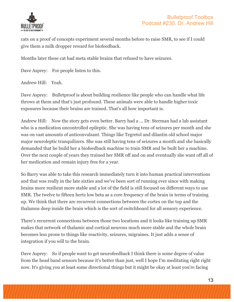

cats on a proof of concepts experiment several months before to raise SMR, to see if I could give them a milk dropper reward for biofeedback.

Months later these cat had meta stable brains that refused to have seizures.

Dave Asprey: For people listen to this.

Andrew Hill: Yeah.

Dave Asprey: Bullet proof is about building resilience like people who can handle what life throws at them and that's just profound. These animals were able to handle higher toxic exposures because their brains are trained. That's all how important is.

Andrew Hill: Now the story gets even better. Barry had a ... Dr. Sterman had a lab assistant who is a medication uncontrolled epileptic. She was having tens of seizures per month and she was on vast amounts of anticonvulsant. Things like Tegretol and dilantin old school major major neuroleptic tranquilizers. She was still having tens of seizures a month and she basically demanded that he build her a biofeedback machine to train SMR and he built her a machine. Over the next couple of years they trained her SMR off and on and eventually she want off all of her medication and remain injury free for a year.

So Barry was able to take this research immediately turn it into human practical interventions and that was really in the late sixties and we've been sort of running ever since with making brains more resilient more stable and a lot of the field is still focused on different ways to use SMR. The twelve to fifteen hertz low beta as a core frequency of the brain in terms of training up. We think that there are recurrent connections between the cortex on the top and the thalamus deep inside the brain which is the sort of switchboard for all sensory experience.

There's recurrent connections between those two locations and it looks like training up SMR makes that network of thalamic and cortical neurons much more stable and the whole brain becomes less prone to things like reactivity, seizures, migraines. It just adds a sense of integration if you will to the brain.

Dave Asprey: So if people want to get neurofeedback I think there is some degree of value from the head band sensors because it's better than just, well I hope I'm meditating right right now. It's giving you at least some directional things but it might be okay at least you're facing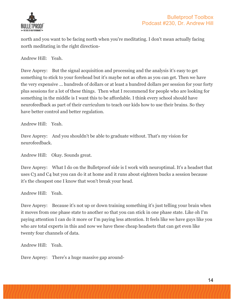

north and you want to be facing north when you're meditating. I don't mean actually facing north meditating in the right direction-

Andrew Hill: Yeah.

Dave Asprey: But the signal acquisition and processing and the analysis it's easy to get something to stick to your forehead but it's maybe not as often as you can get. Then we have the very expensive ... hundreds of dollars or at least a hundred dollars per session for your forty plus sessions for a lot of these things. Then what I recommend for people who are looking for something in the middle is I want this to be affordable. I think every school should have neurofeedback as part of their curriculum to teach our kids how to use their brains. So they have better control and better regulation.

Andrew Hill: Yeah.

Dave Asprey: And you shouldn't be able to graduate without. That's my vision for neurofeedback.

Andrew Hill: Okay. Sounds great.

Dave Asprey: What I do on the Bullet proof side is I work with neuroptimal. It's a headset that uses C3 and C4 but you can do it at home and it runs about eighteen bucks a session because it's the cheapest one I know that won't break your head.

Andrew Hill: Yeah.

Dave Asprey: Because it's not up or down training something it's just telling your brain when it moves from one phase state to another so that you can stick in one phase state. Like oh I'm paying attention I can do it more or I'm paying less attention. It feels like we have guys like you who are total experts in this and now we have these cheap headsets that can get even like twenty four channels of data.

Andrew Hill: Yeah.

Dave Asprey: There's a huge massive gap around-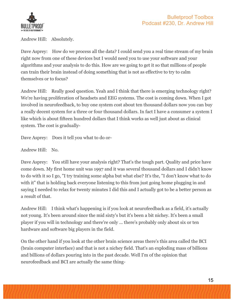

Andrew Hill: Absolutely.

Dave Asprey: How do we process all the data? I could send you a real time stream of my brain right now from one of these devices but I would need you to use your software and your algorithms and your analysis to do this. How are we going to get it so that millions of people can train their brain instead of doing something that is not as effective to try to calm themselves or to focus?

Andrew Hill: Really good question. Yeah and I think that there is emerging technology right? We're having proliferation of headsets and EEG systems. The cost is coming down. When I got involved in neurofeedback, to buy one system cost about ten thousand dollars now you can buy a really decent system for a three or four thousand dollars. In fact I have a consumer a system I like which is about fifteen hundred dollars that I think works as well just about as clinical system. The cost is gradually-

Dave Asprey: Does it tell you what to do or-

Andrew Hill: No.

Dave Asprey: You still have your analysis right? That's the tough part. Quality and price have come down. My first home unit was 1997 and it was several thousand dollars and I didn't know to do with it so I go, "I try training some alpha but what else? It's the, "I don't know what to do with it" that is holding back everyone listening to this from just going home plugging in and saying I needed to relax for twenty minutes I did this and I actually got to be a better person as a result of that.

Andrew Hill: I think what's happening is if you look at neurofeedback as a field, it's actually not young. It's been around since the mid sixty's but it's been a bit nichey. It's been a small player if you will in technology and there're only ... there's probably only about six or ten hardware and software big players in the field.

On the other hand if you look at the other brain science areas there's this area called the BCI (brain computer interface) and that is not a nichey field. That's an exploding mass of billions and billions of dollars pouring into in the past decade. Well I'm of the opinion that neurofeedback and BCI are actually the same thing-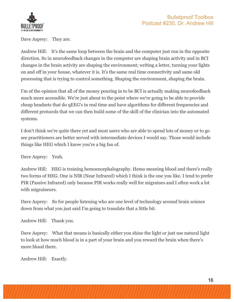

Dave Asprey: They are.

Andrew Hill: It's the same loop between the brain and the computer just run in the opposite direction. So in neurofeedback changes in the computer are shaping brain activity and in BCI changes in the brain activity are shaping the environment; writing a letter, turning your lights on and off in your house, whatever it is. It's the same real time connectivity and same old processing that is trying to control something. Shaping the environment, shaping the brain.

I'm of the opinion that all of the money pouring in to be BCI is actually making neurofeedback much more accessible. We're just about to the point where we're going to be able to provide cheap headsets that do qEEG's in real time and have algorithms for different frequencies and different protocols that we can then build some of the skill of the clinician into the automated systems.

I don't think we're quite there yet and most users who are able to spend lots of money or to go see practitioners are better served with intermediate devices I would say. Those would include things like HEG which I know you're a big fan of.

Dave Asprey: Yeah.

Andrew Hill: HEG is training hemoencephalography. Hemo meaning blood and there's really two forms of HEG. One is NIR (Near Infrared) which I think is the one you like. I tend to prefer PIR (Passive Infrared) only because PIR works really well for migraines and I often work a lot with migraineurs.

Dave Asprey: So for people listening who are one level of technology around brain science down from what you just said I'm going to translate that a little bit.

Andrew Hill: Thank you.

Dave Asprey: What that means is basically either you shine the light or just use natural light to look at how much blood is in a part of your brain and you reward the brain when there's more blood there.

Andrew Hill: Exactly.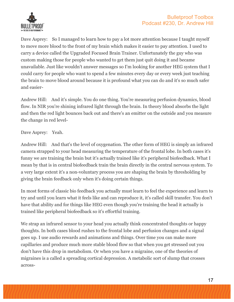

Dave Asprey: So I managed to learn how to pay a lot more attention because I taught myself to move more blood to the front of my brain which makes it easier to pay attention. I used to carry a device called the Upgraded Focused Brain Trainer. Unfortunately the guy who was custom making those for people who wanted to get them just quit doing it and became unavailable. Just like wouldn't answer messages so I'm looking for another HEG system that I could carry for people who want to spend a few minutes every day or every week just teaching the brain to move blood around because it is profound what you can do and it's so much safer and easier-

Andrew Hill: And it's simple. You do one thing. You're measuring perfusion dynamics, blood flow. In NIR you're shining infrared light through the brain. In theory blood absorbs the light and then the red light bounces back out and there's an emitter on the outside and you measure the change in red level-

#### Dave Asprey: Yeah.

Andrew Hill: And that's the level of oxygenation. The other form of HEG is simply an infrared camera strapped to your head measuring the temperature of the frontal lobe. In both cases it's funny we are training the brain but it's actually trained like it's peripheral biofeedback. What I mean by that is in central biofeedback train the brain directly in the central nervous system. To a very large extent it's a non-voluntary process you are shaping the brain by thresholding by giving the brain feedback only when it's doing certain things.

In most forms of classic bio feedback you actually must learn to feel the experience and learn to try and until you learn what it feels like and can reproduce it, it's called skill transfer. You don't have that ability and for things like HEG even though you're training the head it actually is trained like peripheral biofeedback so it's effortful training.

We strap an infrared sensor to your head you actually think concentrated thoughts or happy thoughts. In both cases blood rushes to the frontal lobe and perfusion changes and a signal goes up. I use audio rewards and animations and things. Over time you can make more capillaries and produce much more stable blood flow so that when you get stressed out you don't have this drop in metabolism. Or when you have a migraine, one of the theories of migraines is a called a spreading cortical depression. A metabolic sort of slump that crosses across-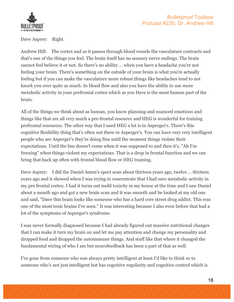

Dave Asprey: Right.

Andrew Hill: The cortex and as it passes through blood vessels the vasculature contracts and that's one of the things you feel. The brain itself has no sensory nerve endings. The brain cannot feel believe it or not. So there's no ability ... when you have a headache you're not feeling your brain. There's something on the outside of your brain is what you're actually feeling but if you can make the vasculature more robust things like headaches tend to not knock you over quite as much. In blood flow and also you have the ability to use more metabolic activity in your prefrontal cortex which as you Dave is the most human part of the brain.

All of the things we think about as human, you know planning and nuanced emotions and things like that are all very much a pre-frontal resource and HEG is wonderful for training prefrontal resources. The other way that I used HEG a lot is in Asperger's. There's this cognitive flexibility thing that's often not there in Asperger's. You can have very very intelligent people who are Asperger's they're doing fine until the moment things violate their expectations. Until the bus doesn't come when it was supposed to and then it's, "Ah I'm freezing" when things violent my expectations. That is a drop in frontal function and we can bring that back up often with frontal blood flow or HEG training.

Dave Asprey: I did the Daniel Amen's spect scan about thirteen years ago, twelve ... thirteen years ago and it showed when I was trying to concentrate that I had zero metabolic activity in my pre frontal cortex. I had it turns out mold toxicity in my house at the time and I saw Daniel about a month ago and got a new brain scan and it was smooth and he looked at my old one and said, "Dave this brain looks like someone who has a hard core street drug addict. This was one of the most toxic brains I've seen." It was interesting because I also even before that had a lot of the symptoms of Asperger's syndrome.

I was never formally diagnosed because I had already figured out massive nutritional changes that I can make it turn my brain on and let me pay attention and change my personality and dropped food and dropped the autoimmune things. And stuff like that where it changed the fundamental wiring of who I am but neurofeedback has been a part of that as well.

I've gone from someone who was always pretty intelligent at least I'd like to think so to someone who's not just intelligent but has cognitive regularity and cognitive control which is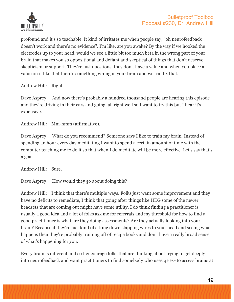

profound and it's so teachable. It kind of irritates me when people say, "oh neurofeedback doesn't work and there's no evidence". I'm like, are you awake? By the way if we hooked the electrodes up to your head, would we see a little bit too much beta in the wrong part of your brain that makes you so oppositional and defiant and skeptical of things that don't deserve skepticism or support. They're just questions, they don't have a value and when you place a value on it like that there's something wrong in your brain and we can fix that.

Andrew Hill: Right.

Dave Asprey: And now there's probably a hundred thousand people are hearing this episode and they're driving in their cars and going, all right well so I want to try this but I hear it's expensive.

Andrew Hill: Mm-hmm (affirmative).

Dave Asprey: What do you recommend? Someone says I like to train my brain. Instead of spending an hour every day meditating I want to spend a certain amount of time with the computer teaching me to do it so that when I do meditate will be more effective. Let's say that's a goal.

Andrew Hill: Sure.

Dave Asprey: How would they go about doing this?

Andrew Hill: I think that there's multiple ways. Folks just want some improvement and they have no deficits to remediate, I think that going after things like HEG some of the newer headsets that are coming out might have some utility. I do think finding a practitioner is usually a good idea and a lot of folks ask me for referrals and my threshold for how to find a good practitioner is what are they doing assessments? Are they actually looking into your brain? Because if they're just kind of sitting down slapping wires to your head and seeing what happens then they're probably training off of recipe books and don't have a really broad sense of what's happening for you.

Every brain is different and so I encourage folks that are thinking about trying to get deeply into neurofeedback and want practitioners to find somebody who uses qEEG to assess brains at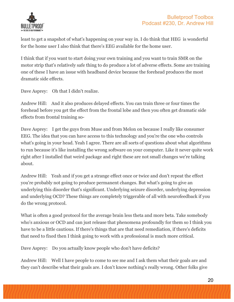

least to get a snapshot of what's happening on your way in. I do think that HEG is wonderful for the home user I also think that there's EEG available for the home user.

I think that if you want to start doing your own training and you want to train SMR on the motor strip that's relatively safe thing to do produce a lot of adverse effects. Some are training one of these I have an issue with headband device because the forehead produces the most dramatic side effects.

Dave Asprey: Oh that I didn't realize.

Andrew Hill: And it also produces delayed effects. You can train three or four times the forehead before you get the effect from the frontal lobe and then you often get dramatic side effects from frontal training so-

Dave Asprey: I get the guys from Muse and from Melon on because I really like consumer EEG. The idea that you can have access to this technology and you're the one who controls what's going in your head. Yeah I agree. There are all sorts of questions about what algorithms to run because it's like installing the wrong software on your computer. Like it never quite work right after I installed that weird package and right these are not small changes we're talking about.

Andrew Hill: Yeah and if you get a strange effect once or twice and don't repeat the effect you're probably not going to produce permanent changes. But what's going to give an underlying this disorder that's significant. Underlying seizure disorder, underlying depression and underlying OCD? These things are completely triggerable of all with neurofeedback if you do the wrong protocol.

What is often a good protocol for the average brain less theta and more beta. Take somebody who's anxious or OCD and can just release that phenomena profoundly for them so I think you have to be a little cautious. If there's things that are that need remediation, if there's deficits that need to fixed then I think going to work with a professional is much more critical.

Dave Asprey: Do you actually know people who don't have deficits?

Andrew Hill: Well I have people to come to see me and I ask them what their goals are and they can't describe what their goals are. I don't know nothing's really wrong. Other folks give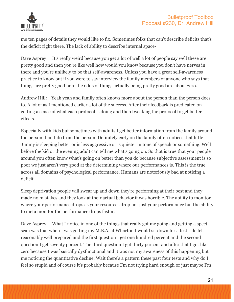

me ten pages of details they would like to fix. Sometimes folks that can't describe deficits that's the deficit right there. The lack of ability to describe internal space-

Dave Asprey: It's really weird because you get a lot of well a lot of people say well these are pretty good and then you're like well how would you know because you don't have nerves in there and you're unlikely to be that self-awareness. Unless you have a great self-awareness practice to know but if you were to say interview the family members of anyone who says that things are pretty good here the odds of things actually being pretty good are about zero.

Andrew Hill: Yeah yeah and family often knows more about the person than the person does to. A lot of as I mentioned earlier a lot of the success. After their feedback is predicated on getting a sense of what each protocol is doing and then tweaking the protocol to get better effects.

Especially with kids but sometimes with adults I get better information from the family around the person than I do from the person. Definitely early on the family often notices that little Jimmy is sleeping better or is less aggressive or is quieter in tone of speech or something. Well before the kid or the evening adult can tell me what's going on. So that is true that your people around you often know what's going on better than you do because subjective assessment is so poor we just aren't very good at the determining where our performances is. This is the true across all domains of psychological performance. Humans are notoriously bad at noticing a deficit.

Sleep deprivation people will swear up and down they're performing at their best and they made no mistakes and they look at their actual behavior it was horrible. The ability to monitor where your performance drops as your resources drop not just your performance but the ability to meta monitor the performance drops faster.

Dave Asprey: What I notice in one of the things that really got me going and getting a spect scan was that when I was getting my M.B.A. at Wharton I would sit down for a test ride felt reasonably well prepared and the first question I get one hundred percent and the second question I get seventy percent. The third question I get thirty percent and after that I got like zero because I was basically dysfunctional and it was not my awareness of this happening but me noticing the quantitative decline. Wait there's a pattern these past four tests and why do I feel so stupid and of course it's probably because I'm not trying hard enough or just maybe I'm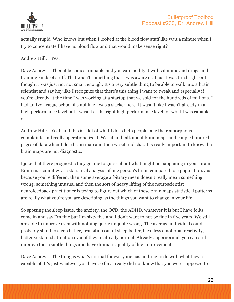

actually stupid. Who knows but when I looked at the blood flow stuff like wait a minute when I try to concentrate I have no blood flow and that would make sense right?

Andrew Hill: Yes.

Dave Asprey: Then it becomes trainable and you can modify it with vitamins and drugs and training kinds of stuff. That wasn't something that I was aware of. I just I was tired right or I thought I was just not not smart enough. It's a very subtle thing to be able to walk into a brain scientist and say hey like I recognize that there's this thing I want to tweak and especially if you're already at the time I was working at a startup that we sold for the hundreds of millions. I had an Ivy League school it's not like I was a slacker here. It wasn't like I wasn't already in a high performance level but I wasn't at the right high performance level for what I was capable of.

Andrew Hill: Yeah and this is a lot of what I do is help people take their amorphous complaints and really operationalize it. We sit and talk about brain maps and couple hundred pages of data when I do a brain map and then we sit and chat. It's really important to know the brain maps are not diagnostic.

I joke that there prognostic they get me to guess about what might be happening in your brain. Brain masculinities are statistical analysis of one person's brain compared to a population. Just because you're different than some average arbitrary mean doesn't really mean something wrong, something unusual and then the sort of heavy lifting of the neuroscientist neurofeedback practitioner is trying to figure out which of these brain maps statistical patterns are really what you're you are describing as the things you want to change in your life.

So spotting the sleep issue, the anxiety, the OCD, the ADHD, whatever it is but I have folks come in and say I'm fine but I'm sixty five and I don't want to not be fine in five years. We still are able to improve even with nothing quote unquote wrong. The average individual could probably stand to sleep better, transition out of sleep better, have less emotional reactivity, better sustained attention even if they're already normal. Already supernormal, you can still improve those subtle things and have dramatic quality of life improvements.

Dave Asprey: The thing is what's normal for everyone has nothing to do with what they're capable of. It's just whatever you have so far. I really did not know that you were supposed to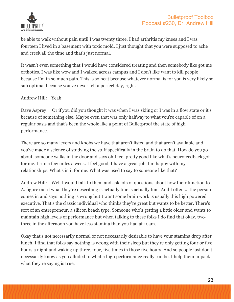

be able to walk without pain until I was twenty three. I had arthritis my knees and I was fourteen I lived in a basement with toxic mold. I just thought that you were supposed to ache and creek all the time and that's just normal.

It wasn't even something that I would have considered treating and then somebody like got me orthotics. I was like wow and I walked across campus and I don't like want to kill people because I'm in so much pain. This is so neat because whatever normal is for you is very likely so sub optimal because you've never felt a perfect day, right.

Andrew Hill: Yeah.

Dave Asprey: Or if you did you thought it was when I was skiing or I was in a flow state or it's because of something else. Maybe even that was only halfway to what you're capable of on a regular basis and that's been the whole like a point of Bulletproof the state of high performance.

There are so many levers and knobs we have that aren't listed and that aren't available and you've made a science of studying the stuff specifically in the brain to do that. How do you go about, someone walks in the door and says oh I feel pretty good like what's neurofeedback got for me. I run a few miles a week. I feel good, I have a great job, I'm happy with my relationships. What's in it for me. What was used to say to someone like that?

Andrew Hill: Well I would talk to them and ask lots of questions about how their function to A. figure out if what they're describing is actually fine is actually fine. And I often ... the person comes in and says nothing is wrong but I want some brain work is usually this high powered executive. That's the classic individual who thinks they're great but wants to be better. There's sort of an entrepreneur, a silicon beach type. Someone who's getting a little older and wants to maintain high levels of performance but when talking to these folks I do find that okay, twothree in the afternoon you have less stamina than you had at 10am.

Okay that's not necessarily normal or not necessarily desirable to have your stamina drop after lunch. I find that folks say nothing is wrong with their sleep but they're only getting four or five hours a night and waking up three, four, five times in those five hours. And so people just don't necessarily know as you alluded to what a high performance really can be. I help them unpack what they're saying is true.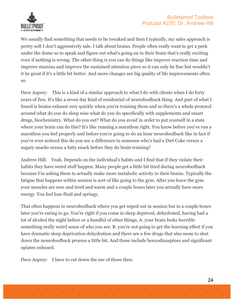

We usually find something that needs to be tweaked and then I typically, my sales approach is pretty soft I don't aggressively sale. I talk about brains. People often really want to get a peek under the dome so to speak and figure out what's going on in their brain that's really exciting even if nothing is wrong. The other thing is you can do things like improve reaction time and improve stamina and improve the sustained attention piece so it can only be fine but wouldn't it be great if it's a little bit better. And more changes are big quality of life improvements often so.

Dave Asprey: This is a kind of a similar approach to what I do with clients when I do forty years of Zen. It's like a seven day kind of residential of neurofeedback thing. And part of what I found is brains exhaust very quickly when you're training them and so there's a whole protocol around what do you do sleep wise what do you do specifically with supplements and smart drugs, biochemistry. What do you eat? What do you avoid in order to put yourself in a state where your brain can do this? It's like running a marathon right. You know before you've run a marathon you feel properly and before you're going to do an hour neurofeedback like in fact if you've ever noticed this do you see a difference in someone who's had a Diet Coke versus a sugary snacks versus a fatty snack before they do brain training?

Andrew Hill: Yeah. Depends on the individual's habits and I find that if they violate their habits they have weird stuff happen. Many people get a little bit tired during neurofeedback because I'm asking them to actually make more metabolic activity in their brains. Typically the fatigue that happens within session is sort of like going to the gym. After you leave the gym your muscles are sore and tired and warm and a couple hours later you actually have more energy. You feel lose fluid and springy.

That often happens in neurofeedback where you get wiped out in session but in a couple hours later you're raring to go. You're right if you come in sleep deprived, dehydrated, having had a lot of alcohol the night before or a handful of other things, A. your brain looks horrible something really weird sense of who you are. B. you're not going to get the learning effect if you have dramatic sleep deprivation dehydration and there are a few drugs that also seem to shut down the neurofeedback process a little bit. And those include benzodiazepines and significant opiates onboard.

Dave Asprey: I have to cut down the use of those then.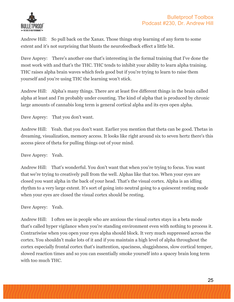

Andrew Hill: So pull back on the Xanax. Those things stop learning of any form to some extent and it's not surprising that blunts the neurofeedback effect a little bit.

Dave Asprey: There's another one that's interesting in the formal training that I've done the most work with and that's the THC. THC tends to inhibit your ability to learn alpha training. THC raises alpha brain waves which feels good but if you're trying to learn to raise them yourself and you're using THC the learning won't stick.

Andrew Hill: Alpha's many things. There are at least five different things in the brain called alpha at least and I'm probably under counting. The kind of alpha that is produced by chronic large amounts of cannabis long term is general cortical alpha and its eyes open alpha.

Dave Asprey: That you don't want.

Andrew Hill: Yeah. that you don't want. Earlier you mention that theta can be good. Thetas in dreaming, visualization, memory access. It looks like right around six to seven hertz there's this access piece of theta for pulling things out of your mind.

Dave Asprey: Yeah.

Andrew Hill: That's wonderful. You don't want that when you're trying to focus. You want that we're trying to creatively pull from the well. Alphas like that too. When your eyes are closed you want alpha in the back of your head. That's the visual cortex. Alpha is an idling rhythm to a very large extent. It's sort of going into neutral going to a quiescent resting mode when your eyes are closed the visual cortex should be resting.

Dave Asprey: Yeah.

Andrew Hill: I often see in people who are anxious the visual cortex stays in a beta mode that's called hyper vigilance when you're standing environment even with nothing to process it. Contrariwise when you open your eyes alpha should block. It very much suppressed across the cortex. You shouldn't make lots of it and if you maintain a high level of alpha throughout the cortex especially frontal cortex that's inattention, spaciness, sluggishness, slow cortical temper, slowed reaction times and so you can essentially smoke yourself into a spacey brain long term with too much THC.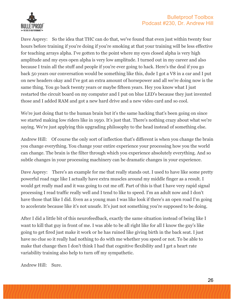

Dave Asprey: So the idea that THC can do that, we've found that even just within twenty four hours before training if you're doing if you're smoking at that your training will be less effective for teaching arrays alpha. I've gotten to the point where my eyes closed alpha is very high amplitude and my eyes open alpha is very low amplitude. I turned out in my career and also because I train all the stuff and people if you're ever going to hack. Here's the deal if you go back 50 years our conversation would be something like this, dude I got a V8 in a car and I put on new headers okay and I've got an extra amount of horsepower and all we're doing now is the same thing. You go back twenty years or maybe fifteen years. Hey you know what I just restarted the circuit board on my computer and I put on blue LED's because they just invented those and I added RAM and got a new hard drive and a new video card and so cool.

We're just doing that to the human brain but it's the same hacking that's been going on since we started making low riders like in 1950. It's just that. There's nothing crazy about what we're saying. We're just applying this upgrading philosophy to the head instead of something else.

Andrew Hill: Of course the only sort of inflection that's different is when you change the brain you change everything. You change your entire experience your processing how you the world can change. The brain is the filter through which you experience absolutely everything. And so subtle changes in your processing machinery can be dramatic changes in your experience.

Dave Asprey: There's an example for me that really stands out. I used to have like some pretty powerful road rage like I actually have extra muscles around my middle finger as a result. I would get really mad and it was going to cut me off. Part of this is that I have very rapid signal processing I read traffic really well and I tend to like to speed. I'm an adult now and I don't have those that like I did. Even as a young man I was like look if there's an open road I'm going to accelerate because like it's not unsafe. It's just not something you're supposed to be doing.

After I did a little bit of this neurofeedback, exactly the same situation instead of being like I want to kill that guy in front of me. I was able to be all right like for all I know the guy's like going to get fired just make it work or he has ruined like giving birth in the back seat. I just have no clue so it really had nothing to do with me whether you speed or not. To be able to make that change then I don't think I had that cognitive flexibility and I get a heart rate variability training also help to turn off my sympathetic.

Andrew Hill: Sure.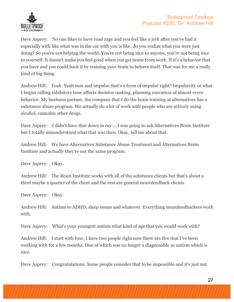

Dave Asprey: No one likes to have road rage and you feel like a jerk after you've had it especially with like what was in the car with you is like, do you realize what you were just doing? So you're not helping the world. You're not being nice to anyone, you're not being nice to yourself. It doesn't make you feel good when you get home from work. If it's a behavior that you have and you could hack it by training your brain to behave itself. That was for me a really kind of big thing.

Andrew Hill: Yeah. Yeah sure and impulse that's a form of impulse right? Impulsivity or what I begun calling inhibitory tone affects decision making, planning execution of almost every behavior. My business partner, the company that I do the brain training at alternatives has a substance abuse program. We actually do a lot of work with people who are actively using alcohol, cannabis other drugs.

Dave Asprey: I didn't have that down in my ... I was going to ask Alternatives Brain Institute but I totally misunderstood what that was then. Okay, tell me about that.

Andrew Hill: We have Alternatives Substance Abuse Treatment and Alternatives Brain Institute and actually they're not the same program.

Dave Asprey: Okay.

Andrew Hill: The Brain Institute works with all of the substance clients but that's about a third maybe a quarter of the client and the rest are general neurofeedback clients.

Dave Asprey: Okay.

Andrew Hill: Autism to ADHD, sleep issues and whatever. Everything neurofeedbackers work with.

Dave Asprey: What's your youngest autism what kind of age that you would work with?

Andrew Hill: I start with four. I have two people right now there are five that I've been working with for a few months. One of which was no longer a diagnosable as autism which is nice.

Dave Asprey: Congratulations. Some people consider that to be impossible and it's just not.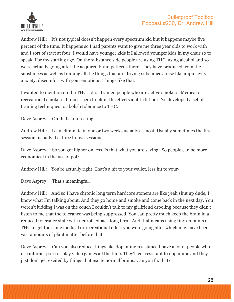



Andrew Hill: It's not typical doesn't happen every spectrum kid but it happens maybe five percent of the time. It happens so I had parents want to give me three year olds to work with and I sort of start at four. I would have younger kids if I allowed younger kids in my chair so to speak. For my starting age. On the substance side people are using THC, using alcohol and so we're actually going after the acquired brain patterns there. They have produced from the substances as well as training all the things that are driving substance abuse like impulsivity, anxiety, discomfort with your emotions. Things like that.

I wanted to mention on the THC side. I trained people who are active smokers. Medical or recreational smokers. It does seem to blunt the effects a little bit but I've developed a set of training techniques to abolish tolerance to THC.

Dave Asprey: Oh that's interesting.

Andrew Hill: I can eliminate in one or two weeks usually at most. Usually sometimes the first session, usually it's three to five sessions.

Dave Asprey: So you get higher on less. Is that what you are saying? So people can be more economical in the use of pot?

Andrew Hill: You're actually right. That's a hit to your wallet, less hit to your-

Dave Asprey: That's meaningful.

Andrew Hill: And so I have chronic long term hardcore stoners are like yeah shut up dude, I know what I'm talking about. And they go home and smoke and come back in the next day. You weren't kidding I was on the couch I couldn't talk to my girlfriend drooling because they didn't listen to me that the tolerance was being suppressed. You can pretty much keep the brain in a reduced tolerance state with neurofeedback long term. And that means using tiny amounts of THC to get the same medical or recreational effect you were going after which may have been vast amounts of plant matter before that.

Dave Asprey: Can you also reduce things like dopamine resistance I have a lot of people who use internet porn or play video games all the time. They'll get resistant to dopamine and they just don't get excited by things that excite normal brains. Can you fix that?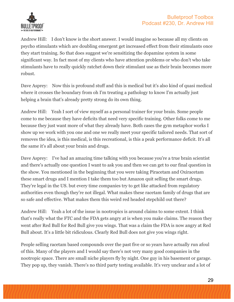

Andrew Hill: I don't know is the short answer. I would imagine so because all my clients on psycho stimulants which are doubling emergent get increased effect from their stimulants once they start training. So that does suggest we're sensitizing the dopamine system in some significant way. In fact most of my clients who have attention problems or who don't who take stimulants have to really quickly ratchet down their stimulant use as their brain becomes more robust.

Dave Asprey: Now this is profound stuff and this is medical but it's also kind of quasi medical where it crosses the boundary from oh I'm treating a pathology to know I'm actually just helping a brain that's already pretty strong do its own thing.

Andrew Hill: Yeah I sort of view myself as a personal trainer for your brain. Some people come to me because they have deficits that need very specific training. Other folks come to me because they just want more of what they already have. Both cases the gym metaphor works I show up we work with you one and one we really meet your specific tailored needs. That sort of removes the idea, is this medical, is this recreational, is this a peak performance deficit. It's all the same it's all about your brain and drugs.

Dave Asprey: I've had an amazing time talking with you because you're a true brain scientist and there's actually one question I want to ask you and then we can get to our final question in the show. You mentioned in the beginning that you were taking Piracetam and Oxiracetam these smart drugs and I mention I take them too but Amazon quit selling the smart drugs. They're legal in the US. but every time companies try to get like attacked from regulatory authorities even though they're not illegal. What makes these racetam family of drugs that are so safe and effective. What makes them this weird red headed stepchild out there?

Andrew Hill: Yeah a lot of the issue in nootropics is around claims to some extent. I think that's really what the FTC and the FDA gets angry at is when you make claims. The reason they went after Red Bull for Red Bull give you wings. That was a claim the FDA is now angry at Red Bull about. It's a little bit ridiculous. Clearly Red Bull does not give you wings right.

People selling racetam based compounds over the past five or so years have actually run afoul of this. Many of the players and I would say there's not very many good companies in the nootropic space. There are small niche players fly by night. One guy in his basement or garage. They pop up, they vanish. There's no third party testing available. It's very unclear and a lot of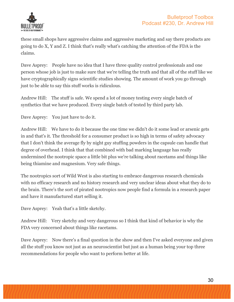

these small shops have aggressive claims and aggressive marketing and say there products are going to do X, Y and Z. I think that's really what's catching the attention of the FDA is the claims.

Dave Asprey: People have no idea that I have three quality control professionals and one person whose job is just to make sure that we're telling the truth and that all of the stuff like we have cryptographically signs scientific studies showing. The amount of work you go through just to be able to say this stuff works is ridiculous.

Andrew Hill: The stuff is safe. We spend a lot of money testing every single batch of synthetics that we have produced. Every single batch of tested by third party lab.

Dave Asprey: You just have to do it.

Andrew Hill: We have to do it because the one time we didn't do it some lead or arsenic gets in and that's it. The threshold for a consumer product is so high in terms of safety advocacy that I don't think the average fly by night guy stuffing powders in the capsule can handle that degree of overhead. I think that that combined with bad marking language has really undermined the nootropic space a little bit plus we're talking about racetams and things like being thiamine and magnesium. Very safe things.

The nootropics sort of Wild West is also starting to embrace dangerous research chemicals with no efficacy research and no history research and very unclear ideas about what they do to the brain. There's the sort of pirated nootropics now people find a formula in a research paper and have it manufactured start selling it.

Dave Asprey: Yeah that's a little sketchy.

Andrew Hill: Very sketchy and very dangerous so I think that kind of behavior is why the FDA very concerned about things like racetams.

Dave Asprey: Now there's a final question in the show and then I've asked everyone and given all the stuff you know not just as an neuroscientist but just as a human being your top three recommendations for people who want to perform better at life.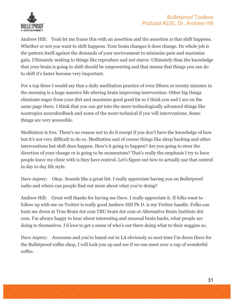

Andrew Hill: Yeah let me frame this with an assertion and the assertion is that shift happens. Whether or not you want to shift happens. Your brain changes it does change. Its whole job is the pattern itself against the demands of your environment to minimize pain and maximize gain. Ultimately seeking to things like reproduce and not starve. Ultimately than the knowledge that your brain is going to shift should be empowering and that means that things you can do to shift it's faster become very important.

For a top three I would say that a daily meditation practice of even fifteen or twenty minutes in the morning is a huge massive life altering brain improving intervention. Other big things eliminate sugar from your diet and maximize good good fat so I think you and I are on the same page there. I think that you can get into the more technologically advanced things like nootropics neurofeedback and some of the more technical if you will interventions. Some things are very accessible.

Meditation is free. There's no reason not to do it except if you don't have the knowledge of how but it's not very difficult to do so. Meditation and of course things like sleep hacking and other interventions but shift does happen. How's it going to happen? Are you going to steer the direction of your change or is going to be momentum? That's really the emphasis I try to have people leave my clinic with is they have control. Let's figure out how to actually use that control in day to day life style.

Dave Asprey: Okay. Sounds like a great list. I really appreciate having you on Bulletproof radio and where can people find out more about what you're doing?

Andrew Hill: Great well thanks for having me Dave. I really appreciate it. If folks want to follow up with me on Twitter is really good Andrew Hill Ph D. is my Twitter handle. Folks can hunt me down at True Brain dot com TRU brain dot com or Alternative Brain Institute dot com. I'm always happy to hear about interesting and unusual brain hacks, what people are doing to themselves. I'd love to get a sense of who's out there doing what to their noggins so.

Dave Asprey: Awesome and you're based out in LA obviously so next time I'm down there for the Bulletproof coffee shop, I will look you up and see if we can meet over a cup of wonderful coffee.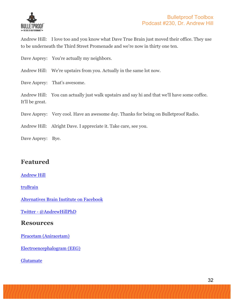

Andrew Hill: I love too and you know what Dave True Brain just moved their office. They use to be underneath the Third Street Promenade and we're now in thirty one ten.

Dave Asprey: You're actually my neighbors.

Andrew Hill: We're upstairs from you. Actually in the same lot now.

Dave Asprey: That's awesome.

Andrew Hill: You can actually just walk upstairs and say hi and that we'll have some coffee. It'll be great.

Dave Asprey: Very cool. Have an awesome day. Thanks for being on Bulletproof Radio.

- Andrew Hill: Alright Dave. I appreciate it. Take care, see you.
- Dave Asprey: Bye.

# **Featured**

#### Andrew Hill

#### truBrain

Alternatives Brain Institute on Facebook

Twitter - @AndrewHillPhD

#### **Resources**

Piracetam (Aniracetam)

Electroencephalogram (EEG)

Glutamate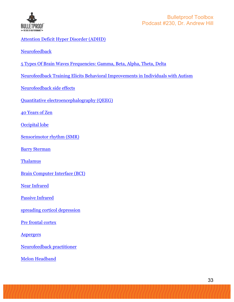

#### Attention Deficit Hyper Disorder (ADHD)

Neurofeedback

- 5 Types Of Brain Waves Frequencies: Gamma, Beta, Alpha, Theta, Delta
- Neurofeedback Training Elicits Behavioral Improvements in Individuals with Autism
- Neurofeedback side effects
- Quantitative electroencephalography (QEEG)

40 Years of Zen

Occipital lobe

Sensorimotor rhythm (SMR)

Barry Sterman

Thalamus

Brain Computer Interface (BCI)

Near Infrared

Passive Infrared

spreading corticol depression

Pre frontal cortex

**Aspergers** 

Neurofeedback practitioner

Melon Headband